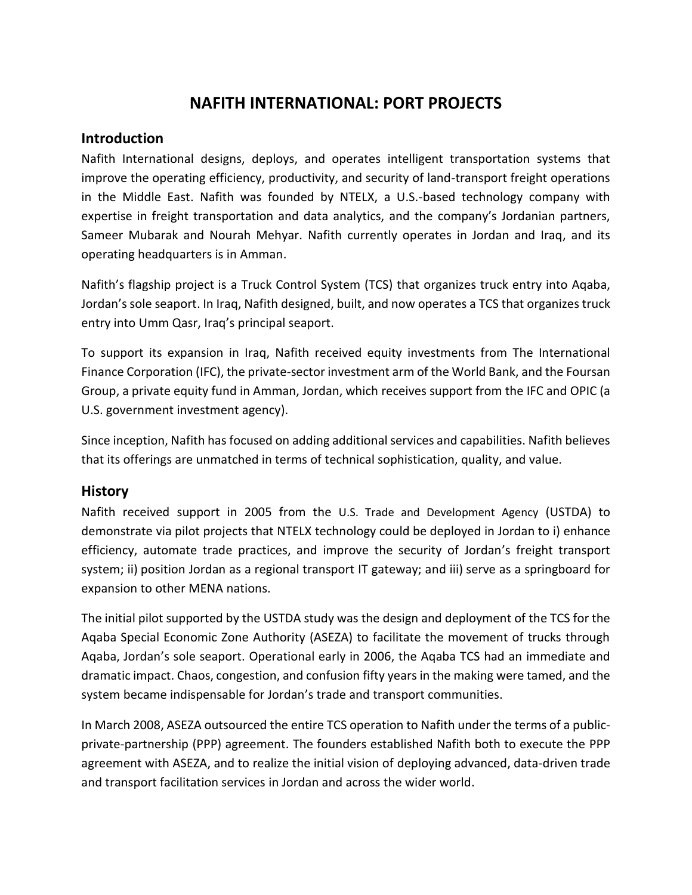# **NAFITH INTERNATIONAL: PORT PROJECTS**

## **Introduction**

Nafith International designs, deploys, and operates intelligent transportation systems that improve the operating efficiency, productivity, and security of land-transport freight operations in the Middle East. Nafith was founded by NTELX, a U.S.-based technology company with expertise in freight transportation and data analytics, and the company's Jordanian partners, Sameer Mubarak and Nourah Mehyar. Nafith currently operates in Jordan and Iraq, and its operating headquarters is in Amman.

Nafith's flagship project is a Truck Control System (TCS) that organizes truck entry into Aqaba, Jordan's sole seaport. In Iraq, Nafith designed, built, and now operates a TCS that organizes truck entry into Umm Qasr, Iraq's principal seaport.

To support its expansion in Iraq, Nafith received equity investments from The International Finance Corporation (IFC), the private-sector investment arm of the World Bank, and the Foursan Group, a private equity fund in Amman, Jordan, which receives support from the IFC and OPIC (a U.S. government investment agency).

Since inception, Nafith has focused on adding additional services and capabilities. Nafith believes that its offerings are unmatched in terms of technical sophistication, quality, and value.

## **History**

Nafith received support in 2005 from the U.S. Trade and Development Agency (USTDA) to demonstrate via pilot projects that NTELX technology could be deployed in Jordan to i) enhance efficiency, automate trade practices, and improve the security of Jordan's freight transport system; ii) position Jordan as a regional transport IT gateway; and iii) serve as a springboard for expansion to other MENA nations.

The initial pilot supported by the USTDA study was the design and deployment of the TCS for the Aqaba Special Economic Zone Authority (ASEZA) to facilitate the movement of trucks through Aqaba, Jordan's sole seaport. Operational early in 2006, the Aqaba TCS had an immediate and dramatic impact. Chaos, congestion, and confusion fifty years in the making were tamed, and the system became indispensable for Jordan's trade and transport communities.

In March 2008, ASEZA outsourced the entire TCS operation to Nafith under the terms of a publicprivate-partnership (PPP) agreement. The founders established Nafith both to execute the PPP agreement with ASEZA, and to realize the initial vision of deploying advanced, data-driven trade and transport facilitation services in Jordan and across the wider world.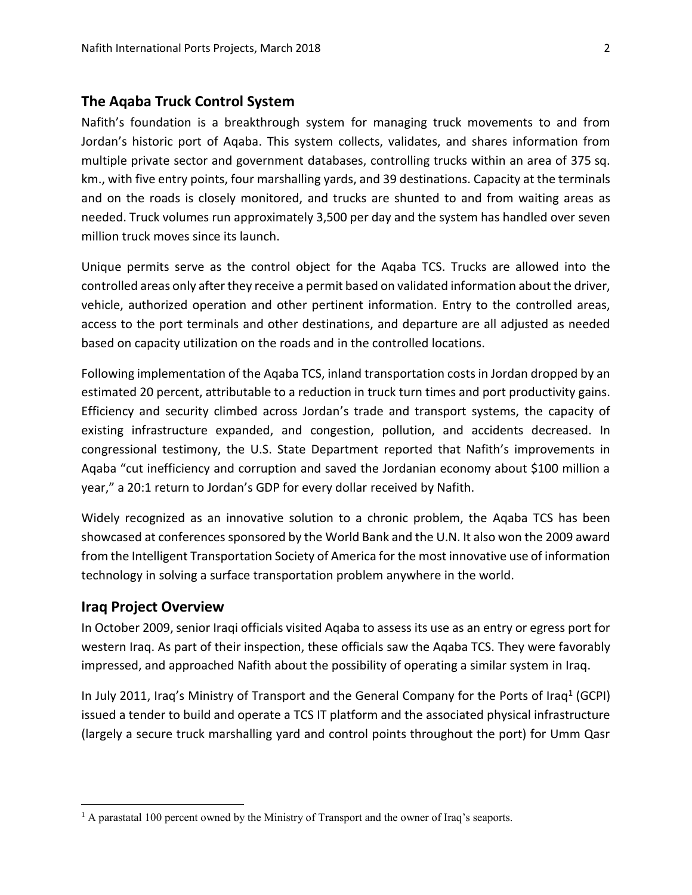### **The Aqaba Truck Control System**

Nafith's foundation is a breakthrough system for managing truck movements to and from Jordan's historic port of Aqaba. This system collects, validates, and shares information from multiple private sector and government databases, controlling trucks within an area of 375 sq. km., with five entry points, four marshalling yards, and 39 destinations. Capacity at the terminals and on the roads is closely monitored, and trucks are shunted to and from waiting areas as needed. Truck volumes run approximately 3,500 per day and the system has handled over seven million truck moves since its launch.

Unique permits serve as the control object for the Aqaba TCS. Trucks are allowed into the controlled areas only after they receive a permit based on validated information about the driver, vehicle, authorized operation and other pertinent information. Entry to the controlled areas, access to the port terminals and other destinations, and departure are all adjusted as needed based on capacity utilization on the roads and in the controlled locations.

Following implementation of the Aqaba TCS, inland transportation costs in Jordan dropped by an estimated 20 percent, attributable to a reduction in truck turn times and port productivity gains. Efficiency and security climbed across Jordan's trade and transport systems, the capacity of existing infrastructure expanded, and congestion, pollution, and accidents decreased. In congressional testimony, the U.S. State Department reported that Nafith's improvements in Aqaba "cut inefficiency and corruption and saved the Jordanian economy about \$100 million a year," a 20:1 return to Jordan's GDP for every dollar received by Nafith.

Widely recognized as an innovative solution to a chronic problem, the Aqaba TCS has been showcased at conferences sponsored by the World Bank and the U.N. It also won the 2009 award from the Intelligent Transportation Society of America for the most innovative use of information technology in solving a surface transportation problem anywhere in the world.

### **Iraq Project Overview**

 $\overline{\phantom{a}}$ 

In October 2009, senior Iraqi officials visited Aqaba to assess its use as an entry or egress port for western Iraq. As part of their inspection, these officials saw the Aqaba TCS. They were favorably impressed, and approached Nafith about the possibility of operating a similar system in Iraq.

In July 2011, Iraq's Ministry of Transport and the General Company for the Ports of Iraq<sup>1</sup> (GCPI) issued a tender to build and operate a TCS IT platform and the associated physical infrastructure (largely a secure truck marshalling yard and control points throughout the port) for Umm Qasr

 $<sup>1</sup>$  A parastatal 100 percent owned by the Ministry of Transport and the owner of Iraq's seaports.</sup>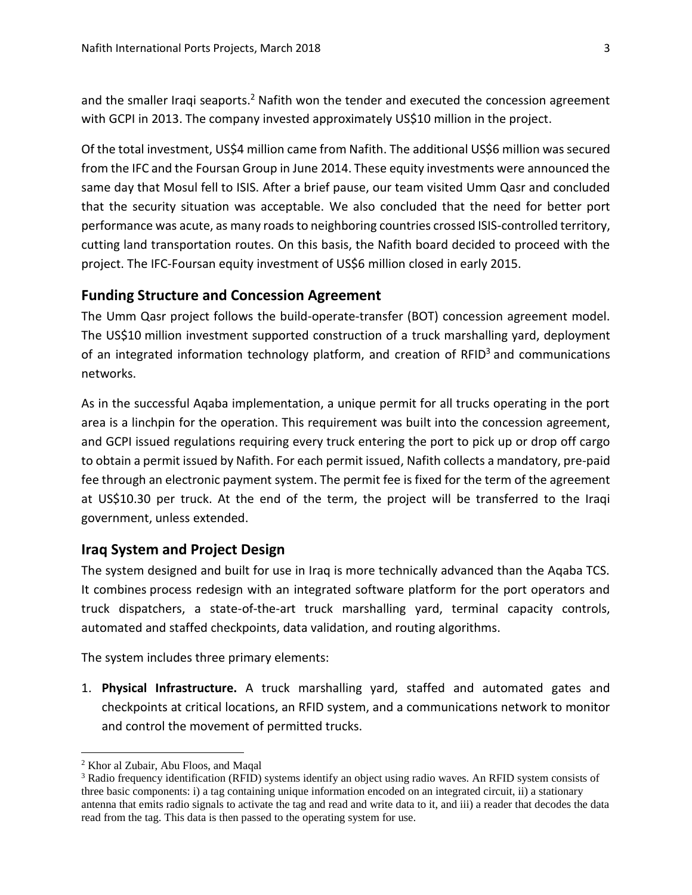and the smaller Iraqi seaports.<sup>2</sup> Nafith won the tender and executed the concession agreement with GCPI in 2013. The company invested approximately US\$10 million in the project.

Of the total investment, US\$4 million came from Nafith. The additional US\$6 million was secured from the IFC and the Foursan Group in June 2014. These equity investments were announced the same day that Mosul fell to ISIS. After a brief pause, our team visited Umm Qasr and concluded that the security situation was acceptable. We also concluded that the need for better port performance was acute, as many roads to neighboring countries crossed ISIS-controlled territory, cutting land transportation routes. On this basis, the Nafith board decided to proceed with the project. The IFC-Foursan equity investment of US\$6 million closed in early 2015.

## **Funding Structure and Concession Agreement**

The Umm Qasr project follows the build-operate-transfer (BOT) concession agreement model. The US\$10 million investment supported construction of a truck marshalling yard, deployment of an integrated information technology platform, and creation of  $RFD<sup>3</sup>$  and communications networks.

As in the successful Aqaba implementation, a unique permit for all trucks operating in the port area is a linchpin for the operation. This requirement was built into the concession agreement, and GCPI issued regulations requiring every truck entering the port to pick up or drop off cargo to obtain a permit issued by Nafith. For each permit issued, Nafith collects a mandatory, pre-paid fee through an electronic payment system. The permit fee is fixed for the term of the agreement at US\$10.30 per truck. At the end of the term, the project will be transferred to the Iraqi government, unless extended.

### **Iraq System and Project Design**

The system designed and built for use in Iraq is more technically advanced than the Aqaba TCS. It combines process redesign with an integrated software platform for the port operators and truck dispatchers, a state-of-the-art truck marshalling yard, terminal capacity controls, automated and staffed checkpoints, data validation, and routing algorithms.

The system includes three primary elements:

1. **Physical Infrastructure.** A truck marshalling yard, staffed and automated gates and checkpoints at critical locations, an RFID system, and a communications network to monitor and control the movement of permitted trucks.

 $\overline{a}$ 

<sup>2</sup> Khor al Zubair, Abu Floos, and Maqal

<sup>&</sup>lt;sup>3</sup> Radio frequency identification (RFID) systems identify an object using radio waves. An RFID system consists of three basic components: i) a tag containing unique information encoded on an integrated circuit, ii) a stationary antenna that emits radio signals to activate the tag and read and write data to it, and iii) a reader that decodes the data read from the tag. This data is then passed to the operating system for use.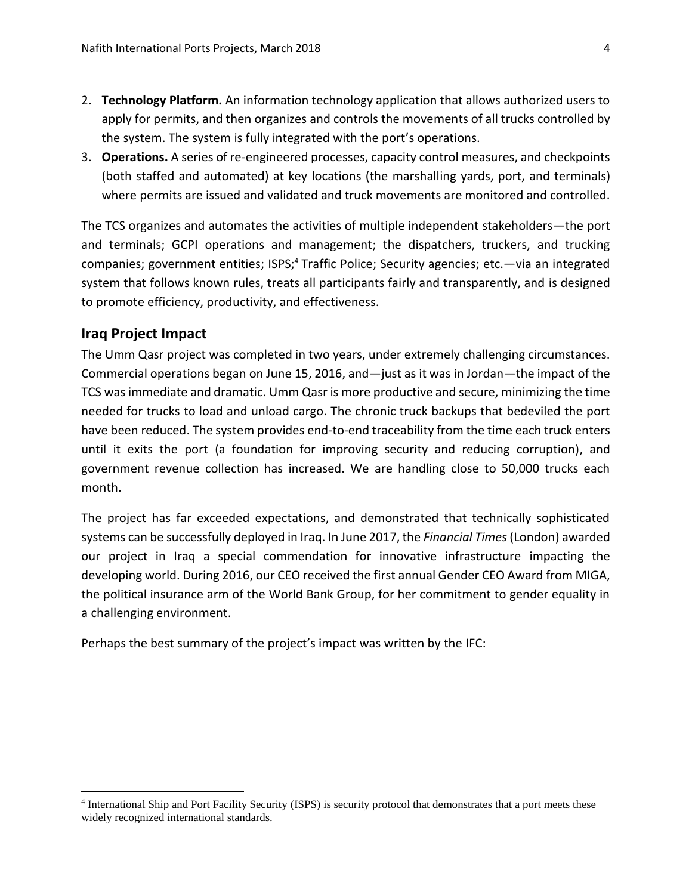- 2. **Technology Platform.** An information technology application that allows authorized users to apply for permits, and then organizes and controls the movements of all trucks controlled by the system. The system is fully integrated with the port's operations.
- 3. **Operations.** A series of re-engineered processes, capacity control measures, and checkpoints (both staffed and automated) at key locations (the marshalling yards, port, and terminals) where permits are issued and validated and truck movements are monitored and controlled.

The TCS organizes and automates the activities of multiple independent stakeholders—the port and terminals; GCPI operations and management; the dispatchers, truckers, and trucking companies; government entities; ISPS;<sup>4</sup> Traffic Police; Security agencies; etc.—via an integrated system that follows known rules, treats all participants fairly and transparently, and is designed to promote efficiency, productivity, and effectiveness.

## **Iraq Project Impact**

 $\overline{\phantom{a}}$ 

The Umm Qasr project was completed in two years, under extremely challenging circumstances. Commercial operations began on June 15, 2016, and—just as it was in Jordan—the impact of the TCS was immediate and dramatic. Umm Qasr is more productive and secure, minimizing the time needed for trucks to load and unload cargo. The chronic truck backups that bedeviled the port have been reduced. The system provides end-to-end traceability from the time each truck enters until it exits the port (a foundation for improving security and reducing corruption), and government revenue collection has increased. We are handling close to 50,000 trucks each month.

The project has far exceeded expectations, and demonstrated that technically sophisticated systems can be successfully deployed in Iraq. In June 2017, the *Financial Times*(London) awarded our project in Iraq a special commendation for innovative infrastructure impacting the developing world. During 2016, our CEO received the first annual Gender CEO Award from MIGA, the political insurance arm of the World Bank Group, for her commitment to gender equality in a challenging environment.

Perhaps the best summary of the project's impact was written by the IFC:

<sup>4</sup> International Ship and Port Facility Security (ISPS) is security protocol that demonstrates that a port meets these widely recognized international standards.